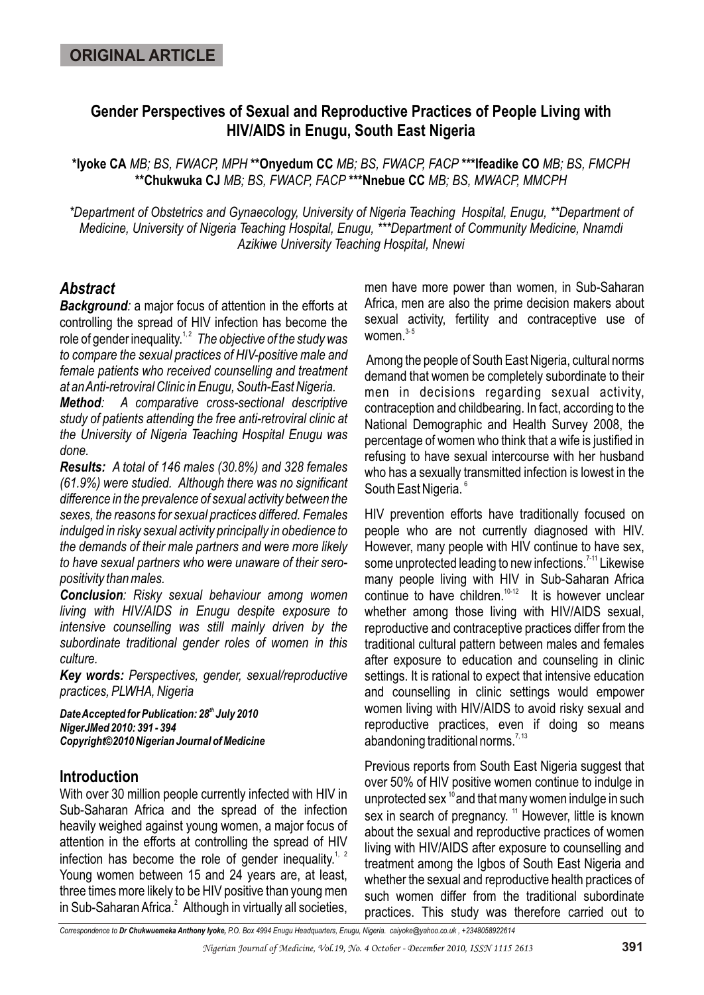# **Gender Perspectives of Sexual and Reproductive Practices of People Living with HIV/AIDS in Enugu, South East Nigeria**

**\*Iyoke CA** *MB; BS, FWACP, MPH* **\*\*Onyedum CC** *MB; BS, FWACP, FACP* **\*\*\*Ifeadike CO** *MB; BS, FMCPH* **\*\*Chukwuka CJ** *MB; BS, FWACP, FACP* **\*\*\*Nnebue CC** *MB; BS, MWACP, MMCPH*

*\*Department of Obstetrics and Gynaecology, University of Nigeria Teaching Hospital, Enugu, \*\*Department of Medicine, University of Nigeria Teaching Hospital, Enugu, \*\*\*Department of Community Medicine, Nnamdi Azikiwe University Teaching Hospital, Nnewi*

# *Abstract*

*Background:* a major focus of attention in the efforts at controlling the spread of HIV infection has become the 1, 2 role of gender inequality. *The objective of the study was to compare the sexual practices of HIV-positive male and female patients who received counselling and treatment at an Anti-retroviral Clinic in Enugu, South-East Nigeria.* 

*Method: A comparative cross-sectional descriptive study of patients attending the free anti-retroviral clinic at the University of Nigeria Teaching Hospital Enugu was done.* 

*Results: A total of 146 males (30.8%) and 328 females (61.9%) were studied. Although there was no significant difference in the prevalence of sexual activity between the sexes, the reasons for sexual practices differed. Females indulged in risky sexual activity principally in obedience to the demands of their male partners and were more likely to have sexual partners who were unaware of their seropositivity than males.* 

*Conclusion: Risky sexual behaviour among women living with HIV/AIDS in Enugu despite exposure to intensive counselling was still mainly driven by the subordinate traditional gender roles of women in this culture.* 

*Key words: Perspectives, gender, sexual/reproductive practices, PLWHA, Nigeria* 

**Date Accepted for Publication: 28<sup>th</sup> July 2010** *NigerJMed 2010: 391 - 394 Copyright©2010 Nigerian Journal of Medicine*

## **Introduction**

With over 30 million people currently infected with HIV in Sub-Saharan Africa and the spread of the infection heavily weighed against young women, a major focus of attention in the efforts at controlling the spread of HIV infection has become the role of gender inequality.<sup>1, 2</sup> Young women between 15 and 24 years are, at least, three times more likely to be HIV positive than young men in Sub-Saharan Africa.<sup>2</sup> Although in virtually all societies, men have more power than women, in Sub-Saharan Africa, men are also the prime decision makers about sexual activity, fertility and contraceptive use of women. $3-5$ 

Among the people of South East Nigeria, cultural norms demand that women be completely subordinate to their men in decisions regarding sexual activity, contraception and childbearing. In fact, according to the National Demographic and Health Survey 2008, the percentage of women who think that a wife is justified in refusing to have sexual intercourse with her husband who has a sexually transmitted infection is lowest in the South East Nigeria.<sup>6</sup>

HIV prevention efforts have traditionally focused on people who are not currently diagnosed with HIV. However, many people with HIV continue to have sex, some unprotected leading to new infections.<sup>7-11</sup> Likewise many people living with HIV in Sub-Saharan Africa continue to have children. $10-12$  It is however unclear whether among those living with HIV/AIDS sexual, reproductive and contraceptive practices differ from the traditional cultural pattern between males and females after exposure to education and counseling in clinic settings. It is rational to expect that intensive education and counselling in clinic settings would empower women living with HIV/AIDS to avoid risky sexual and reproductive practices, even if doing so means abandoning traditional norms.<sup> $7,13$ </sup>

Previous reports from South East Nigeria suggest that over 50% of HIV positive women continue to indulge in unprotected sex  $10^{\circ}$  and that many women indulge in such sex in search of pregnancy. <sup>11</sup> However, little is known about the sexual and reproductive practices of women living with HIV/AIDS after exposure to counselling and treatment among the Igbos of South East Nigeria and whether the sexual and reproductive health practices of such women differ from the traditional subordinate practices. This study was therefore carried out to

*Correspondence to Dr Chukwuemeka Anthony Iyoke, P.O. Box 4994 Enugu Headquarters, Enugu, Nigeria. caiyoke@yahoo.co.uk , +2348058922614*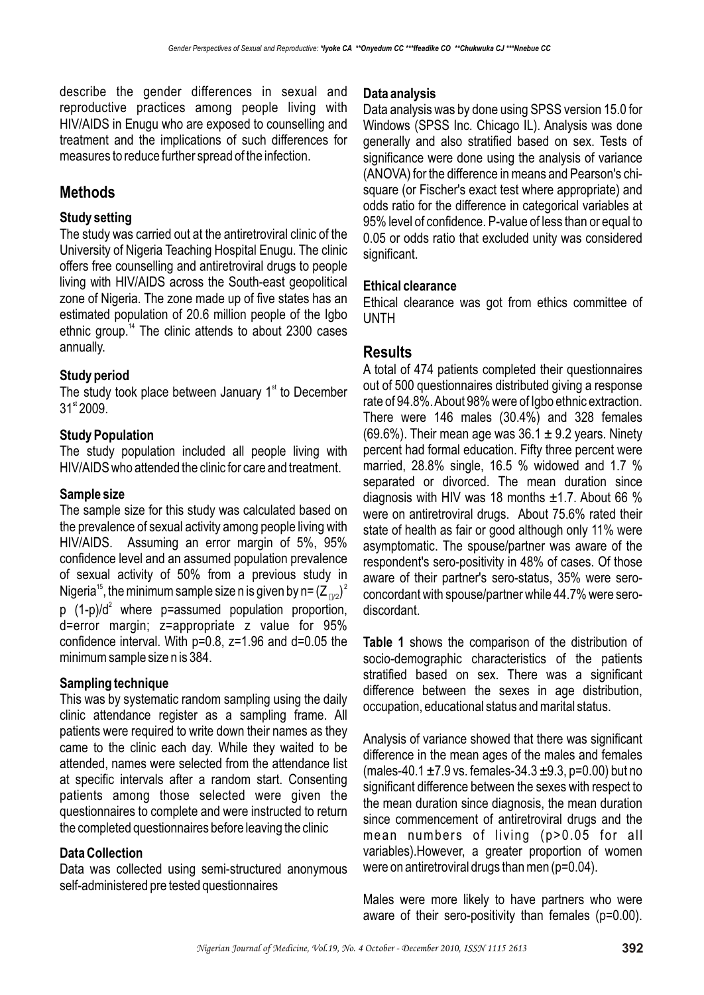describe the gender differences in sexual and reproductive practices among people living with HIV/AIDS in Enugu who are exposed to counselling and treatment and the implications of such differences for measures to reduce further spread of the infection.

# **Methods**

### **Study setting**

The study was carried out at the antiretroviral clinic of the University of Nigeria Teaching Hospital Enugu. The clinic offers free counselling and antiretroviral drugs to people living with HIV/AIDS across the South-east geopolitical zone of Nigeria. The zone made up of five states has an estimated population of 20.6 million people of the Igbo ethnic group.<sup> $14$ </sup> The clinic attends to about 2300 cases annually.

### **Study period**

The study took place between January  $1<sup>st</sup>$  to December  $31<sup>st</sup> 2009.$ 

### **Study Population**

The study population included all people living with HIV/AIDS who attended the clinic for care and treatment.

#### **Sample size**

The sample size for this study was calculated based on the prevalence of sexual activity among people living with HIV/AIDS. Assuming an error margin of 5%, 95% confidence level and an assumed population prevalence of sexual activity of 50% from a previous study in Nigeria<sup>15</sup>, the minimum sample size n is given by n=  $(Z_{\text{D/2}})^2$ p  $(1-p)/d^2$  where p=assumed population proportion, d=error margin; z=appropriate z value for 95% confidence interval. With p=0.8, z=1.96 and d=0.05 the minimum sample size n is 384.

### **Sampling technique**

This was by systematic random sampling using the daily clinic attendance register as a sampling frame. All patients were required to write down their names as they came to the clinic each day. While they waited to be attended, names were selected from the attendance list at specific intervals after a random start. Consenting patients among those selected were given the questionnaires to complete and were instructed to return the completed questionnaires before leaving the clinic

#### **Data Collection**

Data was collected using semi-structured anonymous self-administered pre tested questionnaires

#### **Data analysis**

Data analysis was by done using SPSS version 15.0 for Windows (SPSS Inc. Chicago IL). Analysis was done generally and also stratified based on sex. Tests of significance were done using the analysis of variance (ANOVA) for the difference in means and Pearson's chisquare (or Fischer's exact test where appropriate) and odds ratio for the difference in categorical variables at 95% level of confidence. P-value of less than or equal to 0.05 or odds ratio that excluded unity was considered significant.

#### **Ethical clearance**

Ethical clearance was got from ethics committee of UNTH

## **Results**

A total of 474 patients completed their questionnaires out of 500 questionnaires distributed giving a response rate of 94.8%. About 98% were of Igbo ethnic extraction. There were 146 males (30.4%) and 328 females  $(69.6\%)$ . Their mean age was  $36.1 \pm 9.2$  years. Ninety percent had formal education. Fifty three percent were married, 28.8% single, 16.5 % widowed and 1.7 % separated or divorced. The mean duration since diagnosis with HIV was 18 months ±1.7. About 66 % were on antiretroviral drugs. About 75.6% rated their state of health as fair or good although only 11% were asymptomatic. The spouse/partner was aware of the respondent's sero-positivity in 48% of cases. Of those aware of their partner's sero-status, 35% were seroconcordant with spouse/partner while 44.7% were serodiscordant.

**Table 1** shows the comparison of the distribution of socio-demographic characteristics of the patients stratified based on sex. There was a significant difference between the sexes in age distribution, occupation, educational status and marital status.

Analysis of variance showed that there was significant difference in the mean ages of the males and females (males-40.1  $\pm$ 7.9 vs. females-34.3  $\pm$ 9.3, p=0.00) but no significant difference between the sexes with respect to the mean duration since diagnosis, the mean duration since commencement of antiretroviral drugs and the mean numbers of living (p>0.05 for all variables).However, a greater proportion of women were on antiretroviral drugs than men (p=0.04).

Males were more likely to have partners who were aware of their sero-positivity than females (p=0.00).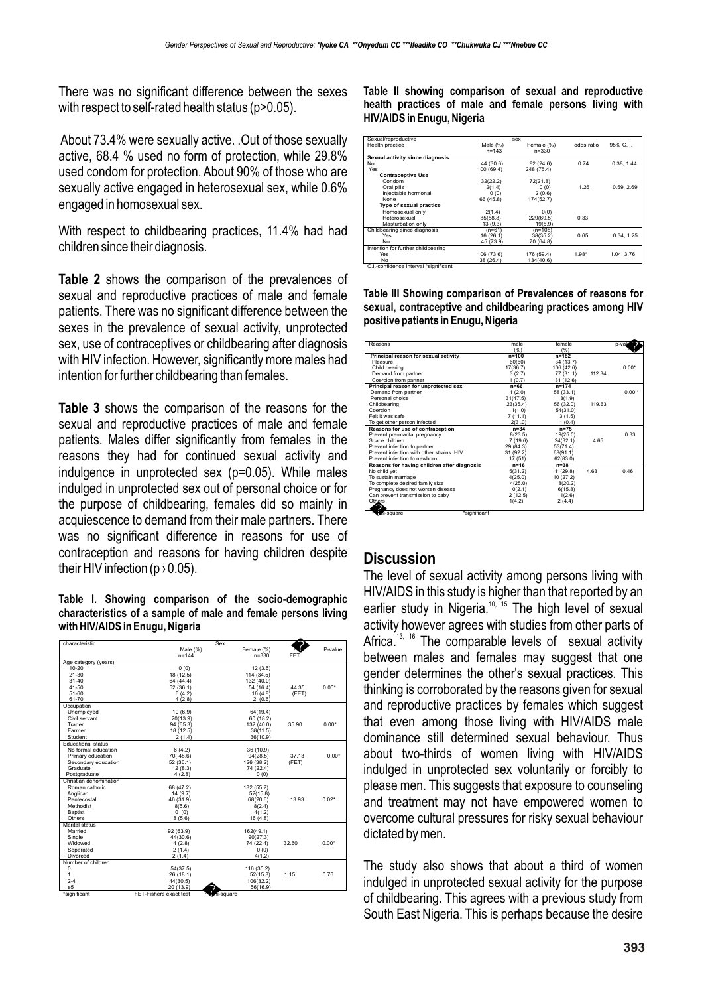There was no significant difference between the sexes with respect to self-rated health status (p>0.05).

About 73.4% were sexually active. .Out of those sexually active, 68.4 % used no form of protection, while 29.8% used condom for protection. About 90% of those who are sexually active engaged in heterosexual sex, while 0.6% engaged in homosexual sex.

With respect to childbearing practices, 11.4% had had children since their diagnosis.

**Table 2** shows the comparison of the prevalences of sexual and reproductive practices of male and female patients. There was no significant difference between the sexes in the prevalence of sexual activity, unprotected sex, use of contraceptives or childbearing after diagnosis with HIV infection. However, significantly more males had intention for further childbearing than females.

**Table 3** shows the comparison of the reasons for the sexual and reproductive practices of male and female patients. Males differ significantly from females in the reasons they had for continued sexual activity and indulgence in unprotected sex (p=0.05). While males indulged in unprotected sex out of personal choice or for the purpose of childbearing, females did so mainly in acquiescence to demand from their male partners. There was no significant difference in reasons for use of contraception and reasons for having children despite their HIV infection ( $p > 0.05$ ).

**Table I. Showing comparison of the socio-demographic characteristics of a sample of male and female persons living with HIV/AIDS in Enugu, Nigeria**

| characteristic            |                        | Sex             |            |            |         |
|---------------------------|------------------------|-----------------|------------|------------|---------|
|                           | Male (%)               |                 | Female (%) | $2$ or     | P-value |
|                           | $n = 144$              |                 | $n = 330$  | <b>FET</b> |         |
| Age category (years)      |                        |                 |            |            |         |
| $10 - 20$                 | (0)                    |                 | 12(3.6)    |            |         |
| $21 - 30$                 | 18 (12.5)              |                 | 114 (34.5) |            |         |
| $31 - 40$                 | 64 (44.4)              |                 | 132 (40.0) |            |         |
| 41-50                     | 52(36.1)               |                 | 54 (16.4)  | 44.35      | $0.00*$ |
| 51-60                     | 6(4.2)                 |                 | 16(4.8)    | (FET)      |         |
| 61-70                     | 4(2.8)                 |                 | 2(0.6)     |            |         |
| Occupation                |                        |                 |            |            |         |
| Unemployed                | 10 (6.9)               |                 | 64(19.4)   |            |         |
| Civil servant             | 20(13.9)               |                 | 60 (18.2)  |            |         |
| Trader                    | 94 (65.3)              |                 | 132 (40.0) | 35.90      | $0.00*$ |
| Farmer                    | 18 (12.5)              |                 | 38(11.5)   |            |         |
| Student                   | 2(1.4)                 |                 | 36(10.9)   |            |         |
| <b>Educational status</b> |                        |                 |            |            |         |
| No formal education       | 6(4.2)                 |                 | 36 (10.9)  |            |         |
| Primary education         | 70(48.6)               |                 | 94(28.5)   | 37.13      | $0.00*$ |
| Secondary education       | 52(36.1)               |                 | 126 (38.2) | (FET)      |         |
| Graduate                  | 12(8.3)                |                 | 74 (22.4)  |            |         |
| Postgraduate              | 4(2.8)                 |                 | 0(0)       |            |         |
| Christian denomination    |                        |                 |            |            |         |
| Roman catholic            | 68 (47.2)              |                 | 182 (55.2) |            |         |
| Anglican                  | 14 (9.7)               |                 | 52(15.8)   |            |         |
| Pentecostal               | 46 (31.9)              |                 | 68(20.6)   | 13.93      | $0.02*$ |
| Methodist                 | 8(5.6)                 |                 | 8(2.4)     |            |         |
| Baptist                   | 0(0)                   |                 | 4(1.2)     |            |         |
| Others                    | 8(5.6)                 |                 | 16(4.8)    |            |         |
| Marital status            |                        |                 |            |            |         |
| Married                   | 92 (63.9)              |                 | 162(49.1)  |            |         |
| Single                    | 44(30.6)               |                 | 90(27.3)   |            |         |
| Widowed                   | 4(2.8)                 |                 | 74 (22.4)  | 32.60      | $0.00*$ |
| Separated                 | 2(1.4)                 |                 | 0(0)       |            |         |
| Divorced                  | 2(1.4)                 |                 | 4(1.2)     |            |         |
| Number of children        |                        |                 |            |            |         |
| $\Omega$                  | 54(37.5)               |                 | 116 (35.2) |            |         |
| 1                         | 26 (18.1)              |                 | 52(15.8)   | 1.15       | 0.76    |
| $2 - 4$                   | 44(30.5)               |                 | 106(32.2)  |            |         |
| e <sub>5</sub>            | 20 (13.9)              |                 | 56(16.9)   |            |         |
| *significant              | FET-Fishers exact test | 2<br>chi-square |            |            |         |

**Table II showing comparison of sexual and reproductive health practices of male and female persons living with HIV/AIDS in Enugu, Nigeria** 

| Sexual/reproductive                   |             | Sex        |            |            |
|---------------------------------------|-------------|------------|------------|------------|
| Health practice                       | Male $(\%)$ | Female (%) | odds ratio | 95% C.I.   |
|                                       | $n = 143$   | $n = 330$  |            |            |
| Sexual activity since diagnosis       |             |            |            |            |
| No                                    | 44 (30.6)   | 82 (24.6)  | 0.74       | 0.38, 1.44 |
| Yes                                   | 100 (69.4)  | 248 (75.4) |            |            |
| <b>Contraceptive Use</b>              |             |            |            |            |
| Condom                                | 32(22.2)    | 72(21.8)   |            |            |
| Oral pills                            | 2(1.4)      | 0(0)       | 1.26       | 0.59, 2.69 |
| Injectable hormonal                   | 0(0)        | 2(0.6)     |            |            |
| None                                  | 66 (45.8)   | 174(52.7)  |            |            |
| Type of sexual practice               |             |            |            |            |
| Homosexual only                       | 2(1.4)      | O(0)       |            |            |
| Heterosexual                          | 85(58.8)    | 229(69.5)  | 0.33       |            |
| Masturbation only                     | 13 (9.3)    | 19(5.9)    |            |            |
| Childbearing since diagnosis          | $(n=61)$    | $(n=108)$  |            |            |
| Yes                                   | 16 (26.1)   | 38(35.2)   | 0.65       | 0.34, 1.25 |
| No                                    | 45 (73.9)   | 70 (64.8)  |            |            |
| Intention for further childbearing    |             |            |            |            |
| Yes                                   | 106 (73.6)  | 176 (59.4) | $1.98*$    | 1.04.3.76  |
| No                                    | 38 (26.4)   | 134(40.6)  |            |            |
| C.I.-confidence interval *significant |             |            |            |            |

**Table III Showing comparison of Prevalences of reasons for sexual, contraceptive and childbearing practices among HIV positive patients in Enugu, Nigeria**

| Reasons                                     | male         | female     |        | p-value |
|---------------------------------------------|--------------|------------|--------|---------|
|                                             | (% )         | (%)        |        | 2       |
| Principal reason for sexual activity        | $n = 100$    | $n = 182$  |        |         |
| Pleasure                                    | 60(60)       | 34 (13.7)  |        |         |
| Child bearing                               | 17(36.7)     | 106 (42.6) |        | $0.00*$ |
| Demand from partner                         | 3(2.7)       | 77 (31.1)  | 112.34 |         |
| Coercion from partner                       | 1(0.7)       | 31 (12.6)  |        |         |
| Principal reason for unprotected sex        | $n = 66$     | $n = 174$  |        |         |
| Demand from partner                         | 1(2.0)       | 58 (33.1)  |        | $0.00*$ |
| Personal choice                             | 31(47.5)     | 3(1.9)     |        |         |
| Childbearing                                | 23(35.4)     | 56 (32.0)  | 119.63 |         |
| Coercion                                    | 1(1.0)       | 54(31.0)   |        |         |
| Felt it was safe                            | 7(11.1)      | 3(1.5)     |        |         |
| To get other person infected                | 2(3.0)       | 1(0.4)     |        |         |
| Reasons for use of contraception            | $n = 34$     | $n=75$     |        |         |
| Prevent pre-marital pregnancy               | 8(23.5)      | 19(25.0)   |        | 0.33    |
| Space children                              | 7(19.6)      | 24(32.1)   | 4.65   |         |
| Prevent infection to partner                | 29 (84.3)    | 53(71.4)   |        |         |
| Prevent infection with other strains HIV    | 31 (92.2)    | 68(91.1)   |        |         |
| Prevent infection to newborn                | 17 (51)      | 62(83.0)   |        |         |
| Reasons for having children after diagnosis | $n=16$       | $n = 38$   |        |         |
| No child vet                                | 5(31.2)      | 11(29.8)   | 4.63   | 0.46    |
| To sustain marriage                         | 4(25.0)      | 10 (27.2)  |        |         |
| To complete desired family size             | 4(25.0)      | 8(20.2)    |        |         |
| Pregnancy does not worsen disease           | 0(2.1)       | 6(15.8)    |        |         |
| Can prevent transmission to baby            | 2(12.5)      | 1(2.6)     |        |         |
| Others                                      | 1(4.2)       | 2(4.4)     |        |         |
| $\mathbf{2}$<br>chi-square                  | *significant |            |        |         |

## **Discussion**

The level of sexual activity among persons living with HIV/AIDS in this study is higher than that reported by an earlier study in Nigeria.<sup>10, 15</sup> The high level of sexual activity however agrees with studies from other parts of Africa.<sup>13, 16</sup> The comparable levels of sexual activity between males and females may suggest that one gender determines the other's sexual practices. This thinking is corroborated by the reasons given for sexual and reproductive practices by females which suggest that even among those living with HIV/AIDS male dominance still determined sexual behaviour. Thus about two-thirds of women living with HIV/AIDS indulged in unprotected sex voluntarily or forcibly to please men. This suggests that exposure to counseling and treatment may not have empowered women to overcome cultural pressures for risky sexual behaviour dictated by men.

The study also shows that about a third of women indulged in unprotected sexual activity for the purpose of childbearing. This agrees with a previous study from South East Nigeria. This is perhaps because the desire